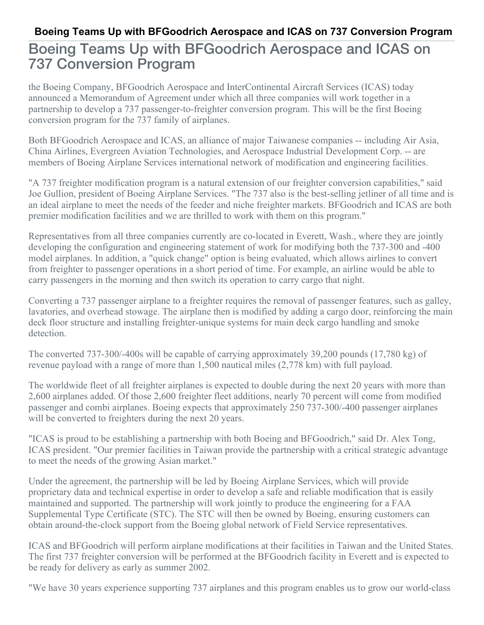## Boeing Teams Up with BFGoodrich Aerospace and ICAS on 737 Conversion Program

the Boeing Company, BFGoodrich Aerospace and InterContinental Aircraft Services (ICAS) today announced a Memorandum of Agreement under which all three companies will work together in a partnership to develop a 737 passenger-to-freighter conversion program. This will be the first Boeing conversion program for the 737 family of airplanes.

Both BFGoodrich Aerospace and ICAS, an alliance of major Taiwanese companies -- including Air Asia, China Airlines, Evergreen Aviation Technologies, and Aerospace Industrial Development Corp. -- are members of Boeing Airplane Services international network of modification and engineering facilities.

"A 737 freighter modification program is a natural extension of our freighter conversion capabilities," said Joe Gullion, president of Boeing Airplane Services. "The 737 also is the best-selling jetliner of all time and is an ideal airplane to meet the needs of the feeder and niche freighter markets. BFGoodrich and ICAS are both premier modification facilities and we are thrilled to work with them on this program."

Representatives from all three companies currently are co-located in Everett, Wash., where they are jointly developing the configuration and engineering statement of work for modifying both the 737-300 and -400 model airplanes. In addition, a "quick change" option is being evaluated, which allows airlines to convert from freighter to passenger operations in a short period of time. For example, an airline would be able to carry passengers in the morning and then switch its operation to carry cargo that night.

Converting a 737 passenger airplane to a freighter requires the removal of passenger features, such as galley, lavatories, and overhead stowage. The airplane then is modified by adding a cargo door, reinforcing the main deck floor structure and installing freighter-unique systems for main deck cargo handling and smoke detection.

The converted 737-300/-400s will be capable of carrying approximately 39,200 pounds (17,780 kg) of revenue payload with a range of more than 1,500 nautical miles (2,778 km) with full payload.

The worldwide fleet of all freighter airplanes is expected to double during the next 20 years with more than 2,600 airplanes added. Of those 2,600 freighter fleet additions, nearly 70 percent will come from modified passenger and combi airplanes. Boeing expects that approximately 250 737-300/-400 passenger airplanes will be converted to freighters during the next 20 years.

"ICAS is proud to be establishing a partnership with both Boeing and BFGoodrich," said Dr. Alex Tong, ICAS president. "Our premier facilities in Taiwan provide the partnership with a critical strategic advantage to meet the needs of the growing Asian market."

Under the agreement, the partnership will be led by Boeing Airplane Services, which will provide proprietary data and technical expertise in order to develop a safe and reliable modification that is easily maintained and supported. The partnership will work jointly to produce the engineering for a FAA Supplemental Type Certificate (STC). The STC will then be owned by Boeing, ensuring customers can obtain around-the-clock support from the Boeing global network of Field Service representatives.

ICAS and BFGoodrich will perform airplane modifications at their facilities in Taiwan and the United States. The first 737 freighter conversion will be performed at the BFGoodrich facility in Everett and is expected to be ready for delivery as early as summer 2002.

"We have 30 years experience supporting 737 airplanes and this program enables us to grow our world-class